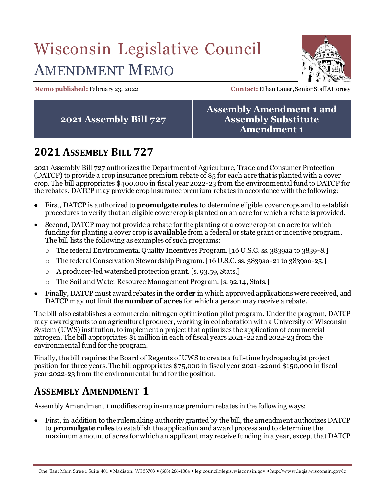# Wisconsin Legislative Council AMENDMENT MEMO



**Memo published:** February 23, 2022 **Contact:** Ethan Lauer, Senior Staff Attorney

**2021 Assembly Bill 727**

#### **Assembly Amendment 1 and Assembly Substitute Amendment 1**

## **2021 ASSEMBLY BILL 727**

2021 Assembly Bill 727 authorizes the Department of Agriculture, Trade and Consumer Protection (DATCP) to provide a crop insurance premium rebate of \$5 for each acre that is planted with a cover crop. The bill appropriates \$400,000 in fiscal year 2022-23 from the environmental fund to DATCP for the rebates. DATCP may provide crop insurance premium rebates in accordance with the following:

- First, DATCP is authorized to **promulgate rules** to determine eligible cover crops and to establish procedures to verify that an eligible cover crop is planted on an acre for which a rebate is provided.
- Second, DATCP may not provide a rebate for the planting of a cover crop on an acre for which funding for planting a cover crop is **available** from a federal or state grant or incentive program. The bill lists the following as examples of such programs:
	- o The federal Environmental Quality Incentives Program. [16 U.S.C. ss. 3839aa to 3839-8.]
	- o The federal Conservation Stewardship Program. [16 U.S.C. ss. 3839aa-21 to 3839aa-25.]
	- o A producer-led watershed protection grant. [s. 93.59, Stats.]
	- o The Soil and Water Resource Management Program. [s. 92.14, Stats.]
- Finally, DATCP must award rebates in the **order** in which approved applications were received, and DATCP may not limit the **number of acres** for which a person may receive a rebate.

The bill also establishes a commercial nitrogen optimization pilot program. Under the program, DATCP may award grants to an agricultural producer, working in collaboration with a University of Wisconsin System (UWS) institution, to implement a project that optimizes the application of commercial nitrogen. The bill appropriates \$1 million in each of fiscal years 2021-22 and 2022-23 from the environmental fund for the program.

Finally, the bill requires the Board of Regents of UWS to create a full-time hydrogeologist project position for three years. The bill appropriates \$75,000 in fiscal year 2021-22 and \$150,000 in fiscal year 2022-23 from the environmental fund for the position.

### **ASSEMBLY AMENDMENT 1**

Assembly Amendment 1 modifies crop insurance premium rebates in the following ways:

 First, in addition to the rulemaking authority granted by the bill, the amendment authorizes DATCP to **promulgate rules** to establish the application and award process and to determine the maximum amount of acres for which an applicant may receive funding in a year, except that DATCP